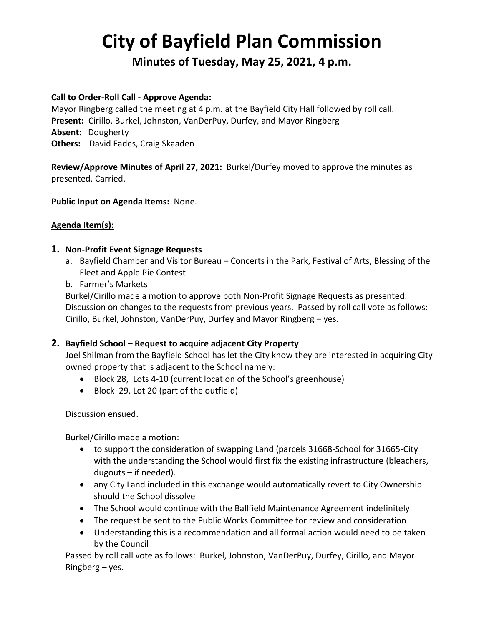# **City of Bayfield Plan Commission**

**Minutes of Tuesday, May 25, 2021, 4 p.m.** 

## **Call to Order-Roll Call - Approve Agenda:**

Mayor Ringberg called the meeting at 4 p.m. at the Bayfield City Hall followed by roll call. **Present:** Cirillo, Burkel, Johnston, VanDerPuy, Durfey, and Mayor Ringberg **Absent:** Dougherty **Others:** David Eades, Craig Skaaden

**Review/Approve Minutes of April 27, 2021:** Burkel/Durfey moved to approve the minutes as presented. Carried.

## **Public Input on Agenda Items:** None.

## **Agenda Item(s):**

#### **1. Non-Profit Event Signage Requests**

a. Bayfield Chamber and Visitor Bureau – Concerts in the Park, Festival of Arts, Blessing of the Fleet and Apple Pie Contest

#### b. Farmer's Markets

Burkel/Cirillo made a motion to approve both Non-Profit Signage Requests as presented. Discussion on changes to the requests from previous years. Passed by roll call vote as follows: Cirillo, Burkel, Johnston, VanDerPuy, Durfey and Mayor Ringberg – yes.

## **2. Bayfield School – Request to acquire adjacent City Property**

Joel Shilman from the Bayfield School has let the City know they are interested in acquiring City owned property that is adjacent to the School namely:

- Block 28, Lots 4-10 (current location of the School's greenhouse)
- Block 29, Lot 20 (part of the outfield)

Discussion ensued.

Burkel/Cirillo made a motion:

- to support the consideration of swapping Land (parcels 31668-School for 31665-City with the understanding the School would first fix the existing infrastructure (bleachers, dugouts – if needed).
- any City Land included in this exchange would automatically revert to City Ownership should the School dissolve
- The School would continue with the Ballfield Maintenance Agreement indefinitely
- The request be sent to the Public Works Committee for review and consideration
- Understanding this is a recommendation and all formal action would need to be taken by the Council

Passed by roll call vote as follows: Burkel, Johnston, VanDerPuy, Durfey, Cirillo, and Mayor Ringberg – yes.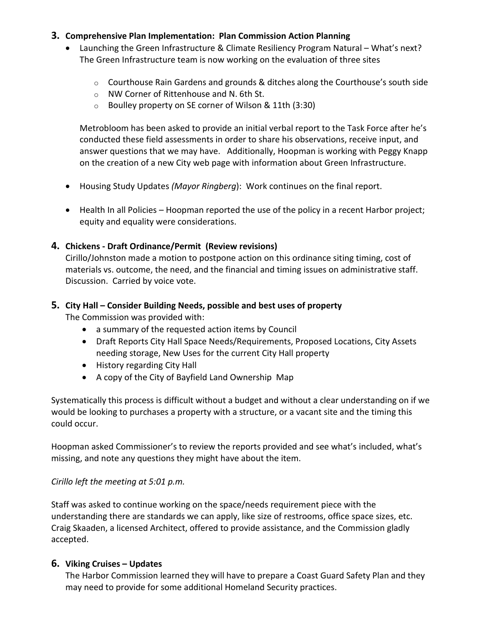## **3. Comprehensive Plan Implementation: Plan Commission Action Planning**

- Launching the Green Infrastructure & Climate Resiliency Program Natural What's next? The Green Infrastructure team is now working on the evaluation of three sites
	- o Courthouse Rain Gardens and grounds & ditches along the Courthouse's south side
	- o NW Corner of Rittenhouse and N. 6th St.
	- o Boulley property on SE corner of Wilson & 11th (3:30)

Metrobloom has been asked to provide an initial verbal report to the Task Force after he's conducted these field assessments in order to share his observations, receive input, and answer questions that we may have. Additionally, Hoopman is working with Peggy Knapp on the creation of a new City web page with information about Green Infrastructure.

- Housing Study Updates *(Mayor Ringberg*): Work continues on the final report.
- Health In all Policies Hoopman reported the use of the policy in a recent Harbor project; equity and equality were considerations.

## **4. Chickens - Draft Ordinance/Permit (Review revisions)**

Cirillo/Johnston made a motion to postpone action on this ordinance siting timing, cost of materials vs. outcome, the need, and the financial and timing issues on administrative staff. Discussion. Carried by voice vote.

## **5. City Hall – Consider Building Needs, possible and best uses of property**

The Commission was provided with:

- a summary of the requested action items by Council
- Draft Reports City Hall Space Needs/Requirements, Proposed Locations, City Assets needing storage, New Uses for the current City Hall property
- History regarding City Hall
- A copy of the City of Bayfield Land Ownership Map

Systematically this process is difficult without a budget and without a clear understanding on if we would be looking to purchases a property with a structure, or a vacant site and the timing this could occur.

Hoopman asked Commissioner's to review the reports provided and see what's included, what's missing, and note any questions they might have about the item.

## *Cirillo left the meeting at 5:01 p.m.*

Staff was asked to continue working on the space/needs requirement piece with the understanding there are standards we can apply, like size of restrooms, office space sizes, etc. Craig Skaaden, a licensed Architect, offered to provide assistance, and the Commission gladly accepted.

# **6. Viking Cruises – Updates**

The Harbor Commission learned they will have to prepare a Coast Guard Safety Plan and they may need to provide for some additional Homeland Security practices.